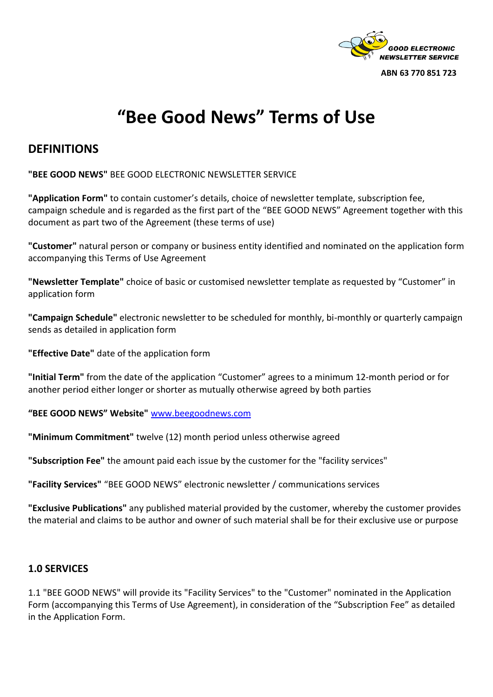

**ABN 63 770 851 723**

# **"Bee Good News" Terms of Use**

# **DEFINITIONS**

**"BEE GOOD NEWS"** BEE GOOD ELECTRONIC NEWSLETTER SERVICE

**"Application Form"** to contain customer's details, choice of newsletter template, subscription fee, campaign schedule and is regarded as the first part of the "BEE GOOD NEWS" Agreement together with this document as part two of the Agreement (these terms of use)

**"Customer"** natural person or company or business entity identified and nominated on the application form accompanying this Terms of Use Agreement

**"Newsletter Template"** choice of basic or customised newsletter template as requested by "Customer" in application form

**"Campaign Schedule"** electronic newsletter to be scheduled for monthly, bi-monthly or quarterly campaign sends as detailed in application form

**"Effective Date"** date of the application form

**"Initial Term"** from the date of the application "Customer" agrees to a minimum 12-month period or for another period either longer or shorter as mutually otherwise agreed by both parties

**"BEE GOOD NEWS" Website"** [www.beegoodnews.com](http://www.beegoodnews.com/)

**"Minimum Commitment"** twelve (12) month period unless otherwise agreed

**"Subscription Fee"** the amount paid each issue by the customer for the "facility services"

**"Facility Services"** "BEE GOOD NEWS" electronic newsletter / communications services

**"Exclusive Publications"** any published material provided by the customer, whereby the customer provides the material and claims to be author and owner of such material shall be for their exclusive use or purpose

#### **1.0 SERVICES**

1.1 "BEE GOOD NEWS" will provide its "Facility Services" to the "Customer" nominated in the Application Form (accompanying this Terms of Use Agreement), in consideration of the "Subscription Fee" as detailed in the Application Form.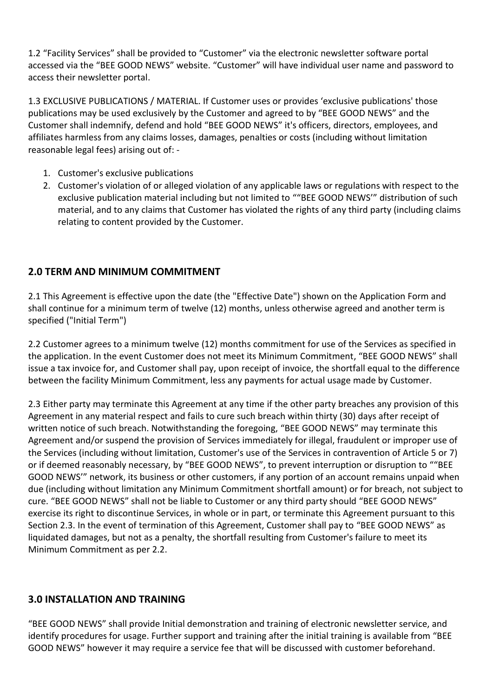1.2 "Facility Services" shall be provided to "Customer" via the electronic newsletter software portal accessed via the "BEE GOOD NEWS" website. "Customer" will have individual user name and password to access their newsletter portal.

1.3 EXCLUSIVE PUBLICATIONS / MATERIAL. If Customer uses or provides 'exclusive publications' those publications may be used exclusively by the Customer and agreed to by "BEE GOOD NEWS" and the Customer shall indemnify, defend and hold "BEE GOOD NEWS" it's officers, directors, employees, and affiliates harmless from any claims losses, damages, penalties or costs (including without limitation reasonable legal fees) arising out of: -

- 1. Customer's exclusive publications
- 2. Customer's violation of or alleged violation of any applicable laws or regulations with respect to the exclusive publication material including but not limited to ""BEE GOOD NEWS'" distribution of such material, and to any claims that Customer has violated the rights of any third party (including claims relating to content provided by the Customer.

### **2.0 TERM AND MINIMUM COMMITMENT**

2.1 This Agreement is effective upon the date (the "Effective Date") shown on the Application Form and shall continue for a minimum term of twelve (12) months, unless otherwise agreed and another term is specified ("Initial Term")

2.2 Customer agrees to a minimum twelve (12) months commitment for use of the Services as specified in the application. In the event Customer does not meet its Minimum Commitment, "BEE GOOD NEWS" shall issue a tax invoice for, and Customer shall pay, upon receipt of invoice, the shortfall equal to the difference between the facility Minimum Commitment, less any payments for actual usage made by Customer.

2.3 Either party may terminate this Agreement at any time if the other party breaches any provision of this Agreement in any material respect and fails to cure such breach within thirty (30) days after receipt of written notice of such breach. Notwithstanding the foregoing, "BEE GOOD NEWS" may terminate this Agreement and/or suspend the provision of Services immediately for illegal, fraudulent or improper use of the Services (including without limitation, Customer's use of the Services in contravention of Article 5 or 7) or if deemed reasonably necessary, by "BEE GOOD NEWS", to prevent interruption or disruption to ""BEE GOOD NEWS'" network, its business or other customers, if any portion of an account remains unpaid when due (including without limitation any Minimum Commitment shortfall amount) or for breach, not subject to cure. "BEE GOOD NEWS" shall not be liable to Customer or any third party should "BEE GOOD NEWS" exercise its right to discontinue Services, in whole or in part, or terminate this Agreement pursuant to this Section 2.3. In the event of termination of this Agreement, Customer shall pay to "BEE GOOD NEWS" as liquidated damages, but not as a penalty, the shortfall resulting from Customer's failure to meet its Minimum Commitment as per 2.2.

#### **3.0 INSTALLATION AND TRAINING**

"BEE GOOD NEWS" shall provide Initial demonstration and training of electronic newsletter service, and identify procedures for usage. Further support and training after the initial training is available from "BEE GOOD NEWS" however it may require a service fee that will be discussed with customer beforehand.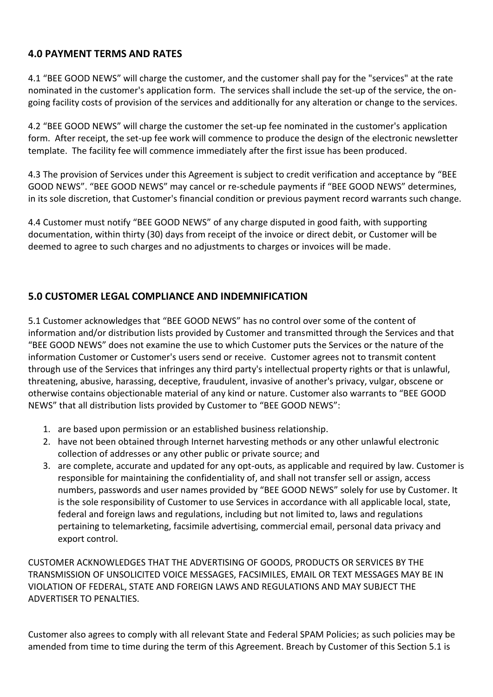### **4.0 PAYMENT TERMS AND RATES**

4.1 "BEE GOOD NEWS" will charge the customer, and the customer shall pay for the "services" at the rate nominated in the customer's application form. The services shall include the set-up of the service, the ongoing facility costs of provision of the services and additionally for any alteration or change to the services.

4.2 "BEE GOOD NEWS" will charge the customer the set-up fee nominated in the customer's application form. After receipt, the set-up fee work will commence to produce the design of the electronic newsletter template. The facility fee will commence immediately after the first issue has been produced.

4.3 The provision of Services under this Agreement is subject to credit verification and acceptance by "BEE GOOD NEWS". "BEE GOOD NEWS" may cancel or re-schedule payments if "BEE GOOD NEWS" determines, in its sole discretion, that Customer's financial condition or previous payment record warrants such change.

4.4 Customer must notify "BEE GOOD NEWS" of any charge disputed in good faith, with supporting documentation, within thirty (30) days from receipt of the invoice or direct debit, or Customer will be deemed to agree to such charges and no adjustments to charges or invoices will be made.

### **5.0 CUSTOMER LEGAL COMPLIANCE AND INDEMNIFICATION**

5.1 Customer acknowledges that "BEE GOOD NEWS" has no control over some of the content of information and/or distribution lists provided by Customer and transmitted through the Services and that "BEE GOOD NEWS" does not examine the use to which Customer puts the Services or the nature of the information Customer or Customer's users send or receive. Customer agrees not to transmit content through use of the Services that infringes any third party's intellectual property rights or that is unlawful, threatening, abusive, harassing, deceptive, fraudulent, invasive of another's privacy, vulgar, obscene or otherwise contains objectionable material of any kind or nature. Customer also warrants to "BEE GOOD NEWS" that all distribution lists provided by Customer to "BEE GOOD NEWS":

- 1. are based upon permission or an established business relationship.
- 2. have not been obtained through Internet harvesting methods or any other unlawful electronic collection of addresses or any other public or private source; and
- 3. are complete, accurate and updated for any opt-outs, as applicable and required by law. Customer is responsible for maintaining the confidentiality of, and shall not transfer sell or assign, access numbers, passwords and user names provided by "BEE GOOD NEWS" solely for use by Customer. It is the sole responsibility of Customer to use Services in accordance with all applicable local, state, federal and foreign laws and regulations, including but not limited to, laws and regulations pertaining to telemarketing, facsimile advertising, commercial email, personal data privacy and export control.

CUSTOMER ACKNOWLEDGES THAT THE ADVERTISING OF GOODS, PRODUCTS OR SERVICES BY THE TRANSMISSION OF UNSOLICITED VOICE MESSAGES, FACSIMILES, EMAIL OR TEXT MESSAGES MAY BE IN VIOLATION OF FEDERAL, STATE AND FOREIGN LAWS AND REGULATIONS AND MAY SUBJECT THE ADVERTISER TO PENALTIES.

Customer also agrees to comply with all relevant State and Federal SPAM Policies; as such policies may be amended from time to time during the term of this Agreement. Breach by Customer of this Section 5.1 is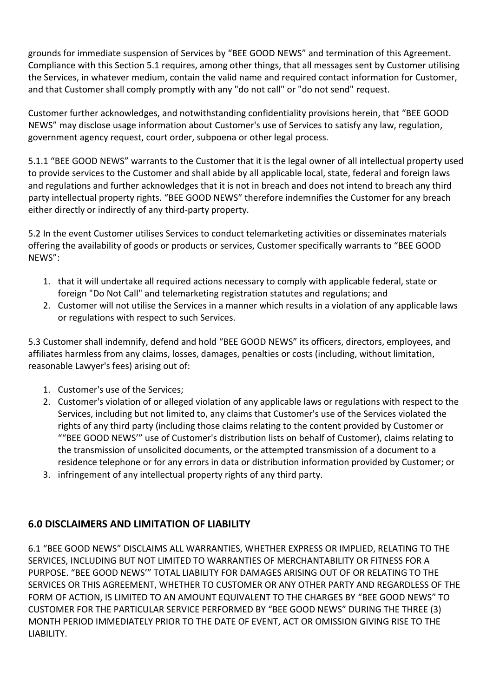grounds for immediate suspension of Services by "BEE GOOD NEWS" and termination of this Agreement. Compliance with this Section 5.1 requires, among other things, that all messages sent by Customer utilising the Services, in whatever medium, contain the valid name and required contact information for Customer, and that Customer shall comply promptly with any "do not call" or "do not send" request.

Customer further acknowledges, and notwithstanding confidentiality provisions herein, that "BEE GOOD NEWS" may disclose usage information about Customer's use of Services to satisfy any law, regulation, government agency request, court order, subpoena or other legal process.

5.1.1 "BEE GOOD NEWS" warrants to the Customer that it is the legal owner of all intellectual property used to provide services to the Customer and shall abide by all applicable local, state, federal and foreign laws and regulations and further acknowledges that it is not in breach and does not intend to breach any third party intellectual property rights. "BEE GOOD NEWS" therefore indemnifies the Customer for any breach either directly or indirectly of any third-party property.

5.2 In the event Customer utilises Services to conduct telemarketing activities or disseminates materials offering the availability of goods or products or services, Customer specifically warrants to "BEE GOOD NEWS":

- 1. that it will undertake all required actions necessary to comply with applicable federal, state or foreign "Do Not Call" and telemarketing registration statutes and regulations; and
- 2. Customer will not utilise the Services in a manner which results in a violation of any applicable laws or regulations with respect to such Services.

5.3 Customer shall indemnify, defend and hold "BEE GOOD NEWS" its officers, directors, employees, and affiliates harmless from any claims, losses, damages, penalties or costs (including, without limitation, reasonable Lawyer's fees) arising out of:

- 1. Customer's use of the Services;
- 2. Customer's violation of or alleged violation of any applicable laws or regulations with respect to the Services, including but not limited to, any claims that Customer's use of the Services violated the rights of any third party (including those claims relating to the content provided by Customer or ""BEE GOOD NEWS'" use of Customer's distribution lists on behalf of Customer), claims relating to the transmission of unsolicited documents, or the attempted transmission of a document to a residence telephone or for any errors in data or distribution information provided by Customer; or
- 3. infringement of any intellectual property rights of any third party.

## **6.0 DISCLAIMERS AND LIMITATION OF LIABILITY**

6.1 "BEE GOOD NEWS" DISCLAIMS ALL WARRANTIES, WHETHER EXPRESS OR IMPLIED, RELATING TO THE SERVICES, INCLUDING BUT NOT LIMITED TO WARRANTIES OF MERCHANTABILITY OR FITNESS FOR A PURPOSE. "BEE GOOD NEWS'" TOTAL LIABILITY FOR DAMAGES ARISING OUT OF OR RELATING TO THE SERVICES OR THIS AGREEMENT, WHETHER TO CUSTOMER OR ANY OTHER PARTY AND REGARDLESS OF THE FORM OF ACTION, IS LIMITED TO AN AMOUNT EQUIVALENT TO THE CHARGES BY "BEE GOOD NEWS" TO CUSTOMER FOR THE PARTICULAR SERVICE PERFORMED BY "BEE GOOD NEWS" DURING THE THREE (3) MONTH PERIOD IMMEDIATELY PRIOR TO THE DATE OF EVENT, ACT OR OMISSION GIVING RISE TO THE LIABILITY.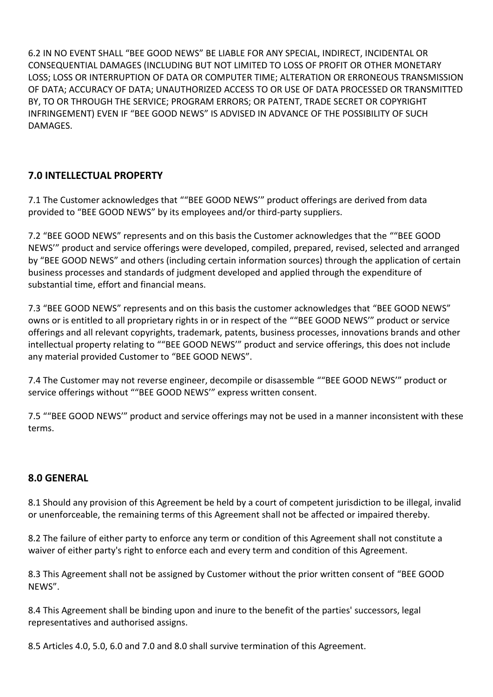6.2 IN NO EVENT SHALL "BEE GOOD NEWS" BE LIABLE FOR ANY SPECIAL, INDIRECT, INCIDENTAL OR CONSEQUENTIAL DAMAGES (INCLUDING BUT NOT LIMITED TO LOSS OF PROFIT OR OTHER MONETARY LOSS; LOSS OR INTERRUPTION OF DATA OR COMPUTER TIME; ALTERATION OR ERRONEOUS TRANSMISSION OF DATA; ACCURACY OF DATA; UNAUTHORIZED ACCESS TO OR USE OF DATA PROCESSED OR TRANSMITTED BY, TO OR THROUGH THE SERVICE; PROGRAM ERRORS; OR PATENT, TRADE SECRET OR COPYRIGHT INFRINGEMENT) EVEN IF "BEE GOOD NEWS" IS ADVISED IN ADVANCE OF THE POSSIBILITY OF SUCH DAMAGES.

# **7.0 INTELLECTUAL PROPERTY**

7.1 The Customer acknowledges that ""BEE GOOD NEWS'" product offerings are derived from data provided to "BEE GOOD NEWS" by its employees and/or third-party suppliers.

7.2 "BEE GOOD NEWS" represents and on this basis the Customer acknowledges that the ""BEE GOOD NEWS'" product and service offerings were developed, compiled, prepared, revised, selected and arranged by "BEE GOOD NEWS" and others (including certain information sources) through the application of certain business processes and standards of judgment developed and applied through the expenditure of substantial time, effort and financial means.

7.3 "BEE GOOD NEWS" represents and on this basis the customer acknowledges that "BEE GOOD NEWS" owns or is entitled to all proprietary rights in or in respect of the ""BEE GOOD NEWS'" product or service offerings and all relevant copyrights, trademark, patents, business processes, innovations brands and other intellectual property relating to ""BEE GOOD NEWS'" product and service offerings, this does not include any material provided Customer to "BEE GOOD NEWS".

7.4 The Customer may not reverse engineer, decompile or disassemble ""BEE GOOD NEWS'" product or service offerings without ""BEE GOOD NEWS'" express written consent.

7.5 ""BEE GOOD NEWS'" product and service offerings may not be used in a manner inconsistent with these terms.

#### **8.0 GENERAL**

8.1 Should any provision of this Agreement be held by a court of competent jurisdiction to be illegal, invalid or unenforceable, the remaining terms of this Agreement shall not be affected or impaired thereby.

8.2 The failure of either party to enforce any term or condition of this Agreement shall not constitute a waiver of either party's right to enforce each and every term and condition of this Agreement.

8.3 This Agreement shall not be assigned by Customer without the prior written consent of "BEE GOOD NEWS".

8.4 This Agreement shall be binding upon and inure to the benefit of the parties' successors, legal representatives and authorised assigns.

8.5 Articles 4.0, 5.0, 6.0 and 7.0 and 8.0 shall survive termination of this Agreement.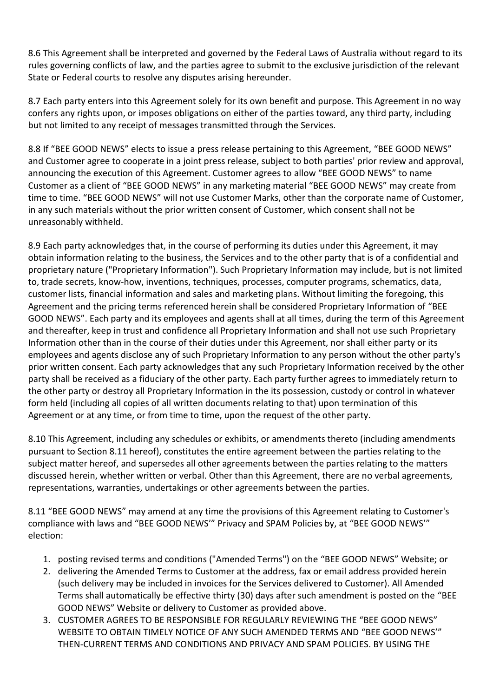8.6 This Agreement shall be interpreted and governed by the Federal Laws of Australia without regard to its rules governing conflicts of law, and the parties agree to submit to the exclusive jurisdiction of the relevant State or Federal courts to resolve any disputes arising hereunder.

8.7 Each party enters into this Agreement solely for its own benefit and purpose. This Agreement in no way confers any rights upon, or imposes obligations on either of the parties toward, any third party, including but not limited to any receipt of messages transmitted through the Services.

8.8 If "BEE GOOD NEWS" elects to issue a press release pertaining to this Agreement, "BEE GOOD NEWS" and Customer agree to cooperate in a joint press release, subject to both parties' prior review and approval, announcing the execution of this Agreement. Customer agrees to allow "BEE GOOD NEWS" to name Customer as a client of "BEE GOOD NEWS" in any marketing material "BEE GOOD NEWS" may create from time to time. "BEE GOOD NEWS" will not use Customer Marks, other than the corporate name of Customer, in any such materials without the prior written consent of Customer, which consent shall not be unreasonably withheld.

8.9 Each party acknowledges that, in the course of performing its duties under this Agreement, it may obtain information relating to the business, the Services and to the other party that is of a confidential and proprietary nature ("Proprietary Information"). Such Proprietary Information may include, but is not limited to, trade secrets, know-how, inventions, techniques, processes, computer programs, schematics, data, customer lists, financial information and sales and marketing plans. Without limiting the foregoing, this Agreement and the pricing terms referenced herein shall be considered Proprietary Information of "BEE GOOD NEWS". Each party and its employees and agents shall at all times, during the term of this Agreement and thereafter, keep in trust and confidence all Proprietary Information and shall not use such Proprietary Information other than in the course of their duties under this Agreement, nor shall either party or its employees and agents disclose any of such Proprietary Information to any person without the other party's prior written consent. Each party acknowledges that any such Proprietary Information received by the other party shall be received as a fiduciary of the other party. Each party further agrees to immediately return to the other party or destroy all Proprietary Information in the its possession, custody or control in whatever form held (including all copies of all written documents relating to that) upon termination of this Agreement or at any time, or from time to time, upon the request of the other party.

8.10 This Agreement, including any schedules or exhibits, or amendments thereto (including amendments pursuant to Section 8.11 hereof), constitutes the entire agreement between the parties relating to the subject matter hereof, and supersedes all other agreements between the parties relating to the matters discussed herein, whether written or verbal. Other than this Agreement, there are no verbal agreements, representations, warranties, undertakings or other agreements between the parties.

8.11 "BEE GOOD NEWS" may amend at any time the provisions of this Agreement relating to Customer's compliance with laws and "BEE GOOD NEWS'" Privacy and SPAM Policies by, at "BEE GOOD NEWS'" election:

- 1. posting revised terms and conditions ("Amended Terms") on the "BEE GOOD NEWS" Website; or
- 2. delivering the Amended Terms to Customer at the address, fax or email address provided herein (such delivery may be included in invoices for the Services delivered to Customer). All Amended Terms shall automatically be effective thirty (30) days after such amendment is posted on the "BEE GOOD NEWS" Website or delivery to Customer as provided above.
- 3. CUSTOMER AGREES TO BE RESPONSIBLE FOR REGULARLY REVIEWING THE "BEE GOOD NEWS" WEBSITE TO OBTAIN TIMELY NOTICE OF ANY SUCH AMENDED TERMS AND "BEE GOOD NEWS'" THEN-CURRENT TERMS AND CONDITIONS AND PRIVACY AND SPAM POLICIES. BY USING THE